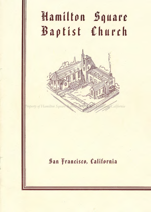# Hamilton Square 13aptist Church



# San {Francisco, California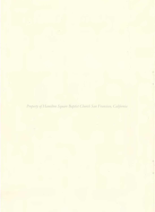. 4 *Property of Hamilton Square Baptist Church San Francisco, California*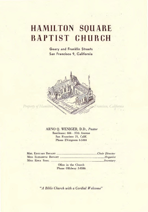# **HAMILTON SQUARE BAPTIST CHURCH**

Geary and Franklin Streets San Francisco 9, California



#### ARNO Q. WENIGER, D.D., *Pastor*  Residence: 666 - 37th Avenue San Francisco 21, Calif. Phone EVergreen 6-5444

|  | MISS EDNA SAHL <b>MISS EDNA</b> SAHL |
|--|--------------------------------------|

Office in the Church Phone ORdway 3-8586

*"A Bible Church with a Cordial Welcome"*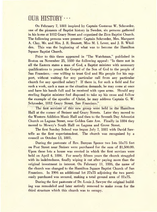# $OUR HISTORY \cdots$

On February 7, 1881 inspired by Captain Gustavus W. Schroeder, one of the pioneers of Baptist history in Sweden, six persons gathered in his home at 1812 Geary Street and organized the Zion Baptist Church. The following persons were present: Captain Schroeder, Mrs. Margaret A. Clay, Mr. and Mrs. J. R. Bennett, Miss M. I. Lever, and J. B. Whidden. This was the beginning of what was to become the Hamilton Square Baptist Church.

Prior to this there appeared in "The Watchman," published in Boston on November 25, 1880 the following appeal: "Is there not in all the Eastern states a man of God, a Baptist minister with necessary qualifications to preach the Gospel of the Son of God to the people of San Francisco,—one willing to trust God and His people for his support, without waiting for any particular call from any particular church for any specified salary? If there is, for such a field and for such a work, such a man as the situation demands, he may come at once and have his hands full and be received with open arms. Should any sterling Baptist minister feel disposed to take up his cross and follow the example of the apostles of Christ, he may address Captain G. W. Schroeder, 1812 Geary Street, San Francisco."

Property of Hamilton Square Baptist Church San Francisco, California**lton** Hall at the corner of Steiner and Geary Streets. Later they moved to the Western Addition Music Hall and then to the Seventh Day Adventist Church on Laguna Street, near Golden Gate Ave. Finally in 1884 they moved to Mowry's South Hall on Laguna and Grove Street.

The first Sunday School was begun July 7, 1881 with David Sawtelle as the first superintendent. The church was recognized by a council on October 13, 1881.

During the pastorate of Rev. Bunyan Spence two lots 55x75 feet on Post Street near Steiner were purchased for the sum of \$1,500.00. Upon these lots a house was erected in which the first services were held on April 4, 1886. For nearly fifteen years the church struggled with its indebtedness, finally wiping it out after paying more than the original investment in interest. On February 11, 1886, the name of the church was changed to the Hamilton Square Baptist Church of San Francisco. In 1904 an additional lot 27x75 adjoining the two previously purchased was secured, making a total ground area of 81x75.

During the first pastorate of Dr. Louis J. Sawyer the original building was remodeled and later entirely removed to make room for the third structure which this church was to occupy.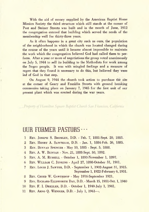With the aid of money supplied by the American Baptist Home Mission Society the third structure which still stands at the corner of Post and Steiner Streets was built and in the month of June, 1912 the congregation entered that building which served the needs of the membership well for thirty-three years.

As it often happens in a great city such as ours, the population of the neighborhood in which the church was located changed during the course of the years until it became almost impossible to maintain the work which the congregation believed God had called them to perform. After a year or more of negotiations the group voted unanimously on July 5, 1944 to sell its building to the Methodists for work among the Negro people. It was with mingled feelings and a measure of regret that they found it necessary to do this, but believed they were led of God in that step.

On August 9, 1944 the church took action to purchase the site at the corner of Geary- and Franklin Streets with ground breaking ceremonies taking place on January 7, 1945 for the first unit of our present plant which was erected during the war years.

*Property of Hamilton Square Baptist Church San Francisco, California*

### OUR FORMER PASTORS  $\cdots$

- 1 REV. JOSEPH S. BROMLEY, D.D. Feb. 7, 1881-Sept. 20, 1883.
- 2 REV. HENRY A. SAWTELLE, D.D. Jan. 1, 1884-Feb. 26, 1885.
- 3 REV. BUNYAN SPENCER May 10, 1885 Sept. 5, 1888.
- 4 REV. A. W. RUNYAN Nov. 21, 1888-Sept. 30, 1892.
- 5 REV. A. M. RUSSELL October 1, 1893-November 1, 1897.
- 6 REV. WILLIAM C. JENKINS April 27, 1898-October 31, 1901.
- 7 REV. LOUIS J. SAWYER, D.D. September 1, 1902-August 31, 1915. September 1, 1922-February 6, 1931.
- 8 REV. CREED W. GAWTHROP May 1916-September 1921.
- 9 REV. RICHARD ELLSWORTH DAY, D.D. March 15, 1931-Oct. 1, 1940
- 10 REv. F. I. DREXLER, D.D. October 1, 1940-July 1, 1941.
- 11 REV. ARNO Q. WENIGER, D.D. July 1, 1941—.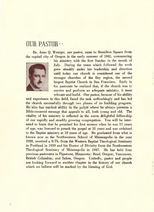### OUR PASTOR • •

Dr. Arno Q. Weniger, our pastor, came to Hamilton. Square from the capital city of Oregon in the early summer of 1941, commencing



 $\overline{1}$ 

his ministry with the first Sunday in the month of July. During the years which followed the work grew steadily under his- leadership and direction until today our church is considered one of the stronger churches of the Bay region, the second largest Baptist Church in San Francisco. Early in his pastorate he realized that, if the church was to survive and perform an adequate ministry, it must relocate and build. Our pastor, because of his ability

and experience in this field, faced the task unflinchingly and has led the church successfully through two phases of its building program. He also has marked ability in the pulpit where he always fresents a Bible-centered message that appeals to all, both young and old. The vitality of his ministry is reflected in the warm delightful fellowship of our rapidly and steadily growing congregation. You will be interested to learn that he preached his first sermon when he was 17 years of age, was licensed to preach the gospel at 18 years and was ordained to the Baptist ministry at 19 years of age. He graduated from what is known now as the Northwestern School of Minneapolis in the year 1928, received a B.Th. from the Western Baptist Theological Seminary in Portland in 1939 and his Doctor of Divinity from the Northwestern Theological Seminary of Minneapolis in 1947. He has held four previous pastorates in Pipestone, Minnesota; Bend, Oregon; Vancouver, British Columbia; and Salem, Oregon. Unitedly, pastor and people are looking forward to another chapter in the history of our church which we believe will be marked by the blessing of God.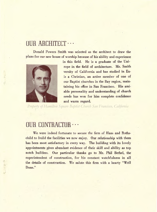# OUR ARCHITECT · · · ·

Donald Powers Smith was selected as the architect to draw the plans for our new house of worship because of his ability and experience



in this field. He is a graduate of the Unirope in the field of architecture. Mr. Smith versity of California and has studied in Euis a Christian, an active member of one of our Baptist churches in the Bay region, maintaining his office in San Francisco. His amiable personality and understanding of church needs has won for him complete confidence and warm regard.

*Property of Hamilton Square Baptist Church San Francisco, California*

# OUR CONTRACTOR · · ·

We were indeed fortunate to secure the firm of Haas and Rothschild to build the facilities we now enjoy. Our relationship with them has been most satisfactory in every way. The building with its lovely appointments gives abundant evidence of their skill and ability as top notch builders. Our particular thanks go to Mr. Phil Bethel, the superintendent of construction, for his constant watchfulness in all the details of construction. We salute this firm with a hearty "Well Done."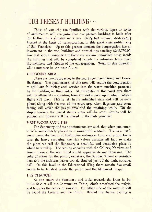# OUR PRESENT BUILDING · · ·

Those of you who are familiar with the various types or styles of architecture will recognize that our present building is built after the Gothic. It is situated on a site  $137\frac{1}{2}$  feet square, strategically located at the heart of transportation, in this great metropolitan city of San Francisco. Up to this present moment the congregation has an investment in the site, building and furnishings totaling \$268,750.00. Our task is not complete for there are certain unfinished areas inside the building that will be completed largely by volunteer labor from the members and friends of the congregation. Work in this direction will commence in the near future.

#### **THE COURT AREA**

There are two approaches to the court area from Geary and Franklin Streets. The spaciousness of this area will enable the congregation to spill out following each service into the warm sunshine protected by the building on three sides. At the center of this court area there will be ultimately a spouting fountain and a pool upon which colored lights will play. This is left in its unfinished state and will be completed along with the rest of the court area when flagstone and stone Fracing will cover the paved area and the retaining walls.<sup>70</sup> On the slopes towards the paved streets grass will be sown, shrubs will be planted and flowers will be placed in the beds provided.

#### **FIRST FLOOR FACILITIES**

The Sanctuary and its appointments are such that when one enters it he is immediately placed in a worshipful attitude. The new hardwood pews, the beautiful Philippine mahogany trim and pulpit furniture, the heavy carpeting, the rich velour curtains all help to make the place we call the Sanctuary a beautiful and conducive place in which to worship. The seating capacity with the Gallery, Narthex, and Annex room at the rear filled would approximate one thousand. The suite of offices for the pastor, secretary, the Sunday School superintendent and the assistant pastor are all situated just off the main entrance hall. On this level in the Educational Wing there remain five small rooms to be finished beside the parlor and the Memorial Chapel.

#### **THE CHANCEL**

As one enters the Sanctuary and looks towards the front he beholds first of all the Communion Table, which antedated the pulpit, and becomes the center of worship. On either side of the rostrum will be found the Lectern and the Pulpit. Behind the chancel railing is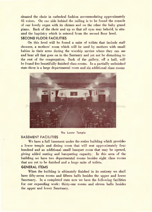situated the choir in cathedral fashion accommodating approximately 45 voices. On one side behind the railing is to be found the console of our lovely organ with its chimes and on the other the baby grand piano. Back of the choir and up so that all eyes may behold, is situated the baptistry which is entered from the second floor level.

#### **SECOND FLOOR FACILITIES**

On this level will be found a suite of toilets that include stall showers, a mothers' room which will be used by mothers with small babies in their arms during the worship service where they can see and hear all that goes on in the Santuary and yet not be disturbing to the rest of the congregation. Back of the gallery, off a hall, will be found five beautifully finished class rooms. In a partially unfinished state there is a large departmental room and six additional class rooms



#### The Lower Temple

#### BASEMENT FACILITIES

We have a full basement under the entire building which provides a lower temple and dining room that will seat approximately four hundred and an additional small banquet room that may be opened, giving added seating and banqueting capacity. In this area of the building we have two departmental rooms besides eight class rooms that are yet to be finished and a large suite of toilets.

#### **GENERAL ITEMS**

When the building is ultimately finished in its entirety we shall have fifty-seven rooms and fifteen halls besides the upper and lower Sanctuary. In a completed state now we have the following facilities for our expanding work: thirty-one rooms and eleven halls besides the upper and lower Sanctuary.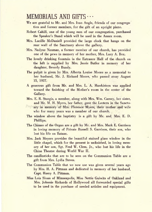# MEMORIALS AND GIFTS · · ·

- We are grateful to Mr. and Mrs. Ivan Angle, friends of our congregation and former members, for the gift of an upright piano.
- Robert Cahill, one of the young men of our congregation, purchased the Speaker's Stand which will be used in the Annex room.
- Mrs. Lucille McDaniell provided the large clock that hangs on the rear wall of the Sanctuary above the gallery.
- Mrs. Nadyne Nauman, a former member of our church, has provided one of the pews in memory of her mother, Mrs. Lucy A. Box.
- The lovely drinking fountain in the Entrance Hall of the church on the left is supplied by Mrs. Jessie Butler in memory of her daughter, Beverly Bundy.
- The pulpit is given by Mrs. Alberta Louise Moore as a memorial to her husband, Mr. J. Richard Moore, who passed away August 15, 1927.
- A generous gift from Mr. and Mrs. L. A. Hawkirison was applied toward the finishing of the Mother's room in the center of the Gallery.
- Mrs. E. R. Sturgis, a member, along with Mrs. Wm. Carney, her sister, and Mr. M. H. Myers, her father, gave the Lectern in the Sanctu-
- Property of Intentory Sof Mrs. Florence Myers, their inother land wife who for many years was a member of our church.
- The window above the baptistry is a gift by Mr. and Mrs. E. D. Phillips.
- The Chimes of the Organ are a gift by Mr. and Mrs. Mark E. Garrison in loving memory of Private Russell S. Garrison, their son, who lost his life on Bataan.
- Mrs. Jack Meyers provides the beautiful stained glass window in the little chapel, which for the present is unfinished, in loving memory of her son, Sgt. Fred W. Clem, Jr., who lost his life in the China Theatre during World War II.
- The candlesticks that are to be seen on the Communion Table are a gift from Mrs. Lydia Steves.
- The Communion Table that we now use was given several years ago by Mrs. H. A. Pittman and dedicated in memory of her husband, Capt. Harry A. Pittman.
- Miss Lois Sloan of Minneapolis, Miss Nettie Guiwits of Oakland and Mrs. Johnnie Richards of Hollywood all forwarded special gifts to be used in the purchase of needed articles and equipment.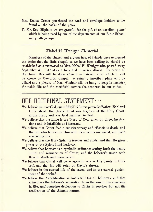- Mrs. Emma Greder purchased the card and envelope holders to be found on the backs of the pews.
- To Mr. Roy Oliphant we are grateful for the gift of an excellent piano which is being used by one of the departments of our Bible School and youth groups.

#### CDabel t. ZDeniger CDemorial

Members of the church and a great host of friends have expressed the desire that the little chapel, as we have been calling it, should be established as a memorial to Mrs. Mabel H. Weniger who passed away September 30, 1947 after a long and lingering illness. By action of the church this will be done when it is finished, after which it will be known as Memorial Chapel. A suitably inscribed plate will be affixed and a picture of Mrs. Weniger will be hung to keep in memory the noble life and the sacrificial service she rendered in our midst.

# OUR DOCTRINAL STATEMENT · · ·

- We believe in one God, manifested in three persons, Father, Son and Holy Ghost; that Jesus Christ was begotten of the Holy Ghost, virgin born; and was God manifest in flesh.
- We believe that the Bible is the Word of God, given by direct inspiration; and is infallible and inerrant.
- We believe that Christ died a substitutionary and efficacious death, and that all who believe in Him with their hearts are saved, and have everlasting life.
- We believe that the Holy Spirit is teacher and guide, and that He gives power to the Spirit-filled believer.
- We believe that baptism is a symbolic ordinance setting forth the death, burial and resurrection of Christ; and the believer's union with Him in death and resurrection.
- We believe that Christ will come again to receive His Saints to Himself, and that He will reign on David's throne.
- We believe in the eternal life of the saved, and in the eternal punishment of the wicked.
- We believe that Sanctification is God's will for all believers, and that it involves the believer's separation from the world, his cleansing in life, and complete dedication to Christ in service; but not the eradication of the Adamic nature.